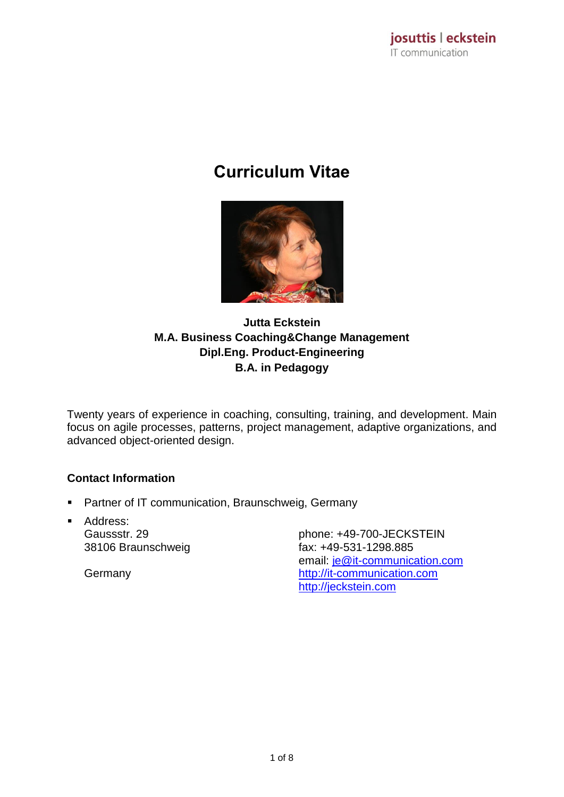# **Curriculum Vitae**



## **Jutta Eckstein M.A. Business Coaching&Change Management Dipl.Eng. Product-Engineering B.A. in Pedagogy**

Twenty years of experience in coaching, consulting, training, and development. Main focus on agile processes, patterns, project management, adaptive organizations, and advanced object-oriented design.

## **Contact Information**

- **Partner of IT communication, Braunschweig, Germany**
- **Address:** Gaussstr. 29 38106 Braunschweig

Germany

phone: +49-700-JECKSTEIN fax: +49-531-1298.885 email: [je@it-communication.com](mailto:je@it-communication.com) [http://it-communication.com](http://it-communication.com/) [http://jeckstein.com](http://jeckstein.com/)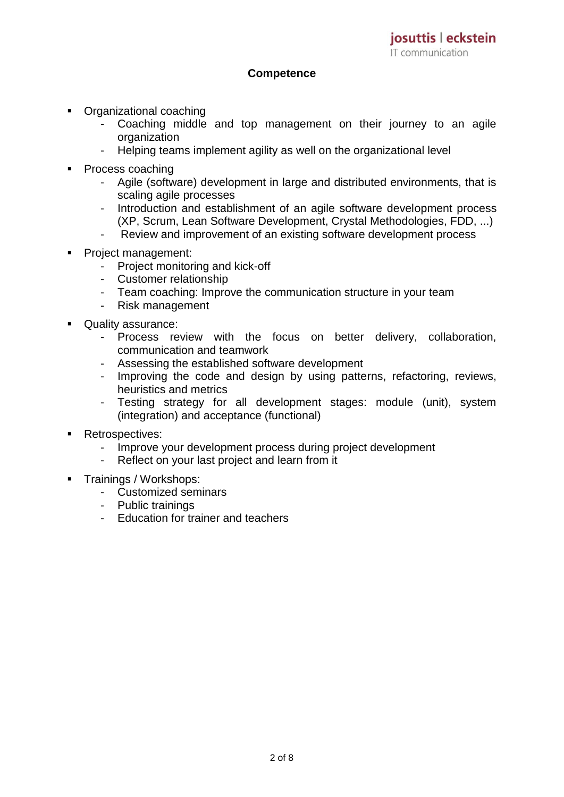#### **Competence**

- Organizational coaching
	- Coaching middle and top management on their journey to an agile organization
	- Helping teams implement agility as well on the organizational level
- Process coaching
	- Agile (software) development in large and distributed environments, that is scaling agile processes
	- Introduction and establishment of an agile software development process (XP, Scrum, Lean Software Development, Crystal Methodologies, FDD, ...)
	- Review and improvement of an existing software development process
- **Project management:** 
	- Project monitoring and kick-off
	- Customer relationship
	- Team coaching: Improve the communication structure in your team
	- Risk management
- **Quality assurance:** 
	- Process review with the focus on better delivery, collaboration, communication and teamwork
	- Assessing the established software development
	- Improving the code and design by using patterns, refactoring, reviews, heuristics and metrics
	- Testing strategy for all development stages: module (unit), system (integration) and acceptance (functional)
- **Retrospectives:** 
	- Improve your development process during project development
	- Reflect on your last project and learn from it
- Trainings / Workshops:
	- Customized seminars
	- Public trainings
	- Education for trainer and teachers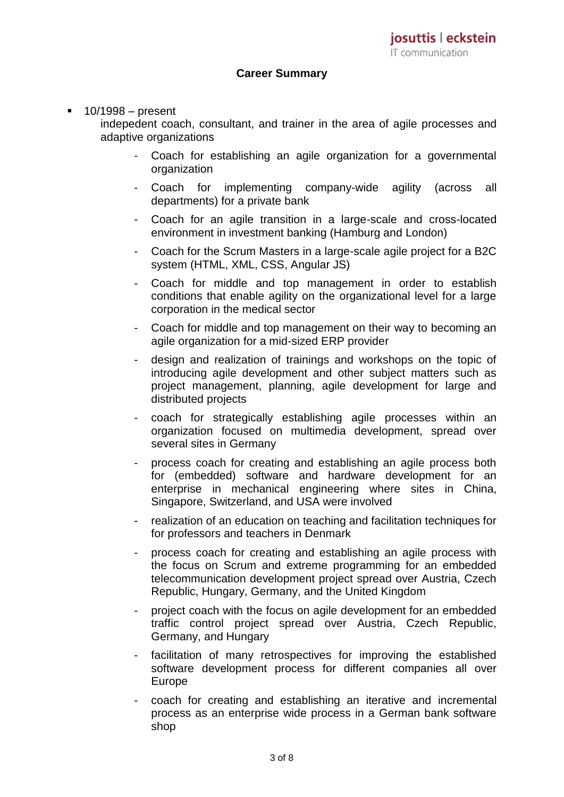#### **Career Summary**

#### 10/1998 – present

indepedent coach, consultant, and trainer in the area of agile processes and adaptive organizations

- Coach for establishing an agile organization for a governmental organization
- Coach for implementing company-wide agility (across all departments) for a private bank
- Coach for an agile transition in a large-scale and cross-located environment in investment banking (Hamburg and London)
- Coach for the Scrum Masters in a large-scale agile project for a B2C system (HTML, XML, CSS, Angular JS)
- Coach for middle and top management in order to establish conditions that enable agility on the organizational level for a large corporation in the medical sector
- Coach for middle and top management on their way to becoming an agile organization for a mid-sized ERP provider
- design and realization of trainings and workshops on the topic of introducing agile development and other subject matters such as project management, planning, agile development for large and distributed projects
- coach for strategically establishing agile processes within an organization focused on multimedia development, spread over several sites in Germany
- process coach for creating and establishing an agile process both for (embedded) software and hardware development for an enterprise in mechanical engineering where sites in China, Singapore, Switzerland, and USA were involved
- realization of an education on teaching and facilitation techniques for for professors and teachers in Denmark
- process coach for creating and establishing an agile process with the focus on Scrum and extreme programming for an embedded telecommunication development project spread over Austria, Czech Republic, Hungary, Germany, and the United Kingdom
- project coach with the focus on agile development for an embedded traffic control project spread over Austria, Czech Republic, Germany, and Hungary
- facilitation of many retrospectives for improving the established software development process for different companies all over Europe
- coach for creating and establishing an iterative and incremental process as an enterprise wide process in a German bank software shop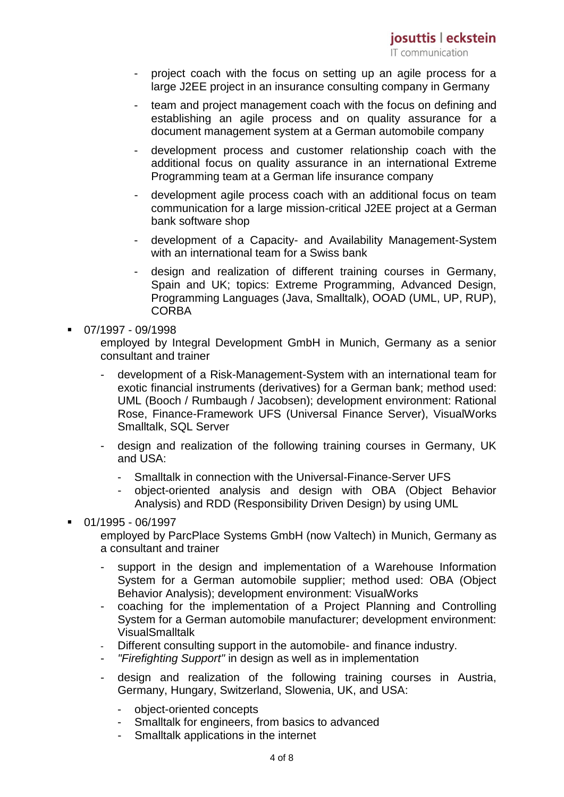- project coach with the focus on setting up an agile process for a large J2EE project in an insurance consulting company in Germany
- team and project management coach with the focus on defining and establishing an agile process and on quality assurance for a document management system at a German automobile company
- development process and customer relationship coach with the additional focus on quality assurance in an international Extreme Programming team at a German life insurance company
- development agile process coach with an additional focus on team communication for a large mission-critical J2EE project at a German bank software shop
- development of a Capacity- and Availability Management-System with an international team for a Swiss bank
- design and realization of different training courses in Germany, Spain and UK; topics: Extreme Programming, Advanced Design, Programming Languages (Java, Smalltalk), OOAD (UML, UP, RUP), **CORBA**
- $-07/1997 09/1998$

employed by Integral Development GmbH in Munich, Germany as a senior consultant and trainer

- development of a Risk-Management-System with an international team for exotic financial instruments (derivatives) for a German bank; method used: UML (Booch / Rumbaugh / Jacobsen); development environment: Rational Rose, Finance-Framework UFS (Universal Finance Server), VisualWorks Smalltalk, SQL Server
- design and realization of the following training courses in Germany, UK and USA:
	- Smalltalk in connection with the Universal-Finance-Server UFS
	- object-oriented analysis and design with OBA (Object Behavior Analysis) and RDD (Responsibility Driven Design) by using UML
- 01/1995 06/1997
	- employed by ParcPlace Systems GmbH (now Valtech) in Munich, Germany as a consultant and trainer
		- support in the design and implementation of a Warehouse Information System for a German automobile supplier; method used: OBA (Object Behavior Analysis); development environment: VisualWorks
		- coaching for the implementation of a Project Planning and Controlling System for a German automobile manufacturer; development environment: VisualSmalltalk
		- Different consulting support in the automobile- and finance industry.
		- *"Firefighting Support"* in design as well as in implementation
		- design and realization of the following training courses in Austria, Germany, Hungary, Switzerland, Slowenia, UK, and USA:
			- object-oriented concepts
			- Smalltalk for engineers, from basics to advanced
			- Smalltalk applications in the internet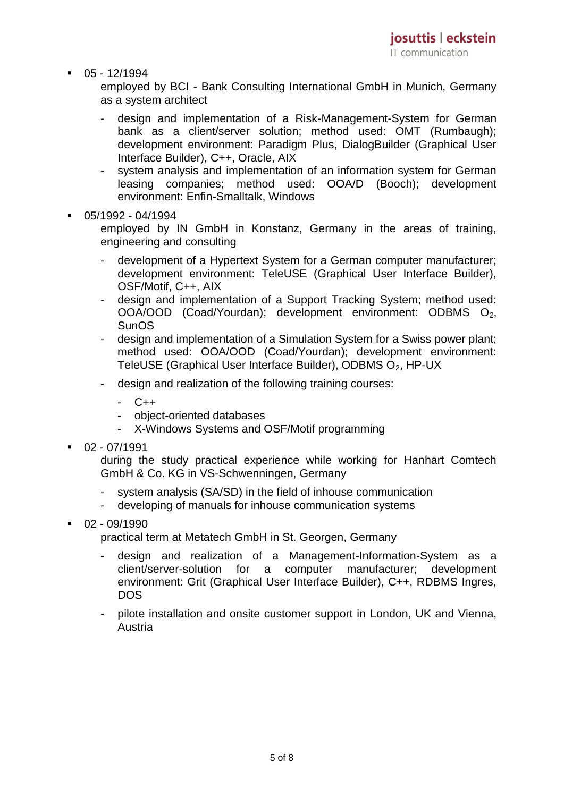$-05 - 12/1994$ 

employed by BCI - Bank Consulting International GmbH in Munich, Germany as a system architect

- design and implementation of a Risk-Management-System for German bank as a client/server solution; method used: OMT (Rumbaugh); development environment: Paradigm Plus, DialogBuilder (Graphical User Interface Builder), C++, Oracle, AIX
- system analysis and implementation of an information system for German leasing companies; method used: OOA/D (Booch); development environment: Enfin-Smalltalk, Windows
- 05/1992 04/1994

employed by IN GmbH in Konstanz, Germany in the areas of training, engineering and consulting

- development of a Hypertext System for a German computer manufacturer; development environment: TeleUSE (Graphical User Interface Builder), OSF/Motif, C++, AIX
- design and implementation of a Support Tracking System; method used: OOA/OOD (Coad/Yourdan); development environment: ODBMS O2, **SunOS**
- design and implementation of a Simulation System for a Swiss power plant; method used: OOA/OOD (Coad/Yourdan); development environment: TeleUSE (Graphical User Interface Builder), ODBMS O<sub>2</sub>, HP-UX
- design and realization of the following training courses:
	- C++
	- object-oriented databases
	- X-Windows Systems and OSF/Motif programming
- $-02 07/1991$

during the study practical experience while working for Hanhart Comtech GmbH & Co. KG in VS-Schwenningen, Germany

- system analysis (SA/SD) in the field of inhouse communication
- developing of manuals for inhouse communication systems
- $-02 09/1990$

practical term at Metatech GmbH in St. Georgen, Germany

- design and realization of a Management-Information-System as a client/server-solution for a computer manufacturer; development environment: Grit (Graphical User Interface Builder), C++, RDBMS Ingres, DOS
- pilote installation and onsite customer support in London, UK and Vienna, Austria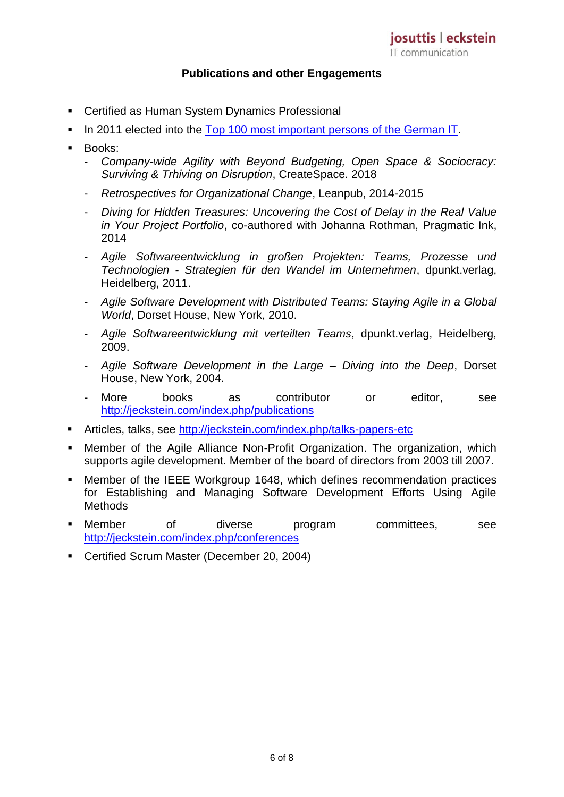### **Publications and other Engagements**

- Certified as Human System Dynamics Professional
- In 2011 elected into the [Top 100 most important persons of the German IT.](http://www.computerwoche.de/g/top-100-die-wichtigsten-persoenlichkeiten-in-der-deutschen-itk-landschaft,102088,88)
- **Books:** 
	- *Company-wide Agility with Beyond Budgeting, Open Space & Sociocracy: Surviving & Trhiving on Disruption*, CreateSpace. 2018
	- *Retrospectives for Organizational Change*, Leanpub, 2014-2015
	- *Diving for Hidden Treasures: Uncovering the Cost of Delay in the Real Value in Your Project Portfolio*, co-authored with Johanna Rothman, Pragmatic Ink, 2014
	- *Agile Softwareentwicklung in großen Projekten: Teams, Prozesse und Technologien - Strategien für den Wandel im Unternehmen*, dpunkt.verlag, Heidelberg, 2011.
	- *Agile Software Development with Distributed Teams: Staying Agile in a Global World*, Dorset House, New York, 2010.
	- *Agile Softwareentwicklung mit verteilten Teams*, dpunkt.verlag, Heidelberg, 2009.
	- *Agile Software Development in the Large – Diving into the Deep*, Dorset House, New York, 2004.
	- More books as contributor or editor, see <http://jeckstein.com/index.php/publications>
- Articles, talks, see<http://jeckstein.com/index.php/talks-papers-etc>
- Member of the Agile Alliance Non-Profit Organization. The organization, which supports agile development. Member of the board of directors from 2003 till 2007.
- Member of the IEEE Workgroup 1648, which defines recommendation practices for Establishing and Managing Software Development Efforts Using Agile **Methods**
- Member of diverse program committees, see <http://jeckstein.com/index.php/conferences>
- **Certified Scrum Master (December 20, 2004)**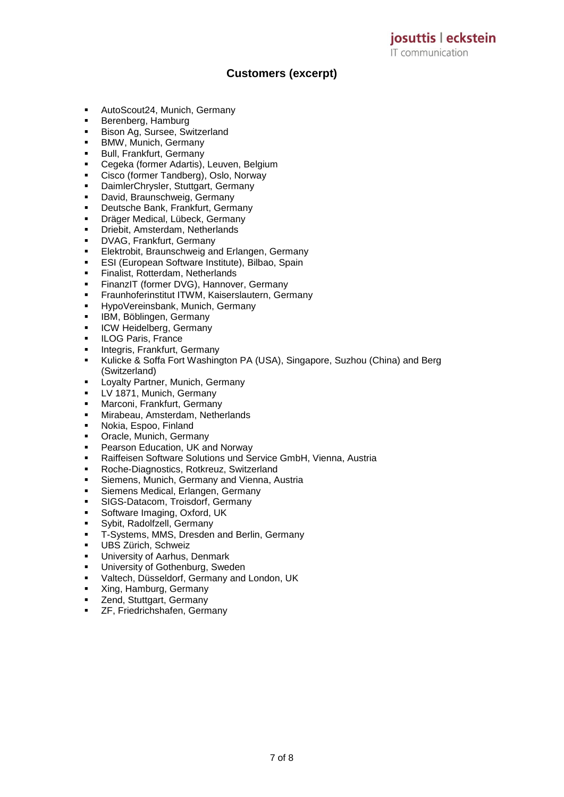**Customers (excerpt)**

- AutoScout24, Munich, Germany
- Berenberg, Hamburg
- **Bison Ag, Sursee, Switzerland**
- **BMW, Munich, Germany**
- **Bull, Frankfurt, Germany**
- Cegeka (former Adartis), Leuven, Belgium
- Cisco (former Tandberg), Oslo, Norway
- DaimlerChrysler, Stuttgart, Germany
- **-** David, Braunschweig, Germany
- **Deutsche Bank, Frankfurt, Germany**
- **-** Dräger Medical, Lübeck, Germany
- **•** Driebit, Amsterdam, Netherlands
- **DVAG, Frankfurt, Germany**
- **Elektrobit, Braunschweig and Erlangen, Germany**
- **ESI (European Software Institute), Bilbao, Spain**
- **Finalist, Rotterdam, Netherlands**
- **FinanzIT (former DVG), Hannover, Germany**
- **Fraunhoferinstitut ITWM, Kaiserslautern, Germany**
- **HypoVereinsbank, Munich, Germany**
- IBM, Böblingen, Germany
- **ICW Heidelberg, Germany**
- **ILOG Paris, France**
- **Integris, Frankfurt, Germany**
- Kulicke & Soffa Fort Washington PA (USA), Singapore, Suzhou (China) and Berg (Switzerland)
- **E.** Loyalty Partner, Munich, Germany
- **LV 1871, Munich, Germany**
- **Marconi, Frankfurt, Germany**
- **Kallen Mirabeau, Amsterdam, Netherlands**
- **Nokia, Espoo, Finland**
- **•** Oracle, Munich, Germany
- **Pearson Education, UK and Norway**
- Raiffeisen Software Solutions und Service GmbH, Vienna, Austria
- Roche-Diagnostics, Rotkreuz, Switzerland
- **EXE** Siemens, Munich, Germany and Vienna, Austria
- **Siemens Medical, Erlangen, Germany**
- **SIGS-Datacom, Troisdorf, Germany**
- **Software Imaging, Oxford, UK**
- Sybit, Radolfzell, Germany
- T-Systems, MMS, Dresden and Berlin, Germany
- UBS Zürich, Schweiz
- University of Aarhus, Denmark
- University of Gothenburg, Sweden
- Valtech, Düsseldorf, Germany and London, UK
- King, Hamburg, Germany
- E Zend, Stuttgart, Germany
- ZF, Friedrichshafen, Germany